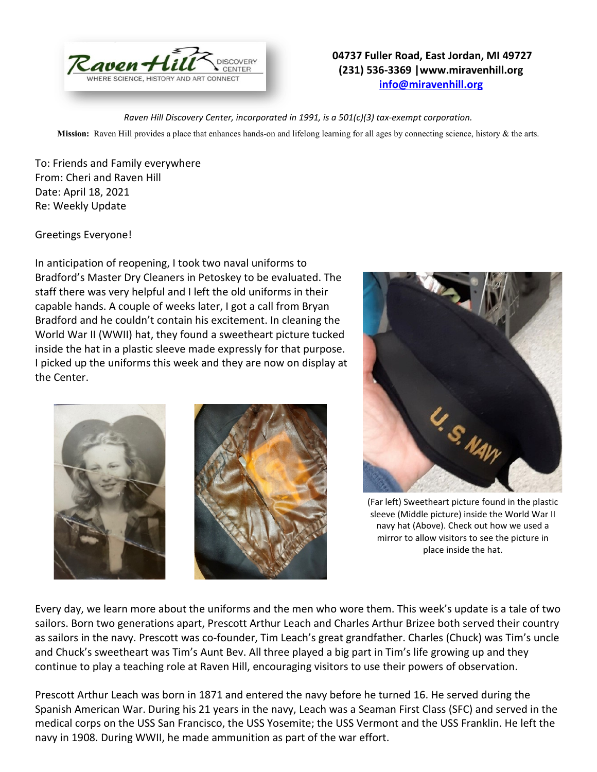

## **04737 Fuller Road, East Jordan, MI 49727 (231) 536-3369 |www.miravenhill.org [info@miravenhill.org](mailto:info@miravenhill.org)**

*Raven Hill Discovery Center, incorporated in 1991, is a 501(c)(3) tax-exempt corporation.*

**Mission:** Raven Hill provides a place that enhances hands-on and lifelong learning for all ages by connecting science, history & the arts.

To: Friends and Family everywhere From: Cheri and Raven Hill Date: April 18, 2021 Re: Weekly Update

Greetings Everyone!

In anticipation of reopening, I took two naval uniforms to Bradford's Master Dry Cleaners in Petoskey to be evaluated. The staff there was very helpful and I left the old uniforms in their capable hands. A couple of weeks later, I got a call from Bryan Bradford and he couldn't contain his excitement. In cleaning the World War II (WWII) hat, they found a sweetheart picture tucked inside the hat in a plastic sleeve made expressly for that purpose. I picked up the uniforms this week and they are now on display at the Center.





(Far left) Sweetheart picture found in the plastic sleeve (Middle picture) inside the World War II navy hat (Above). Check out how we used a mirror to allow visitors to see the picture in place inside the hat.

Every day, we learn more about the uniforms and the men who wore them. This week's update is a tale of two sailors. Born two generations apart, Prescott Arthur Leach and Charles Arthur Brizee both served their country as sailors in the navy. Prescott was co-founder, Tim Leach's great grandfather. Charles (Chuck) was Tim's uncle and Chuck's sweetheart was Tim's Aunt Bev. All three played a big part in Tim's life growing up and they continue to play a teaching role at Raven Hill, encouraging visitors to use their powers of observation.

Prescott Arthur Leach was born in 1871 and entered the navy before he turned 16. He served during the Spanish American War. During his 21 years in the navy, Leach was a Seaman First Class (SFC) and served in the medical corps on the USS San Francisco, the USS Yosemite; the USS Vermont and the USS Franklin. He left the navy in 1908. During WWII, he made ammunition as part of the war effort.